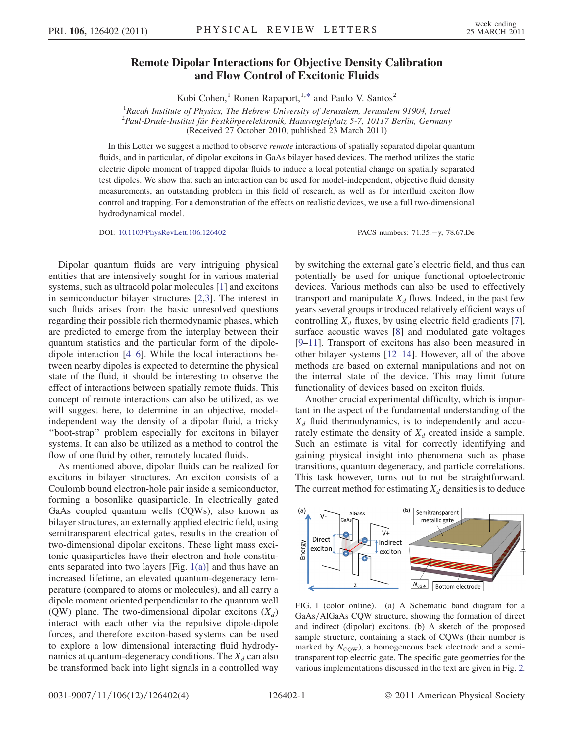## Remote Dipolar Interactions for Objective Density Calibration and Flow Control of Excitonic Fluids

Kobi Cohen,<sup>1</sup> Ronen Rapaport,<sup>1[,\\*](#page-3-0)</sup> and Paulo V. Santos<sup>2</sup>

<sup>1</sup> Racah Institute of Physics, The Hebrew University of Jerusalem, Jerusalem 91904, Israel <sup>2</sup> Paul-Drude-Institut für Festkörperelektronik, Hausvogteiplatz 5-7, 10117 Berlin, Germany

(Received 27 October 2010; published 23 March 2011)

<span id="page-0-1"></span>In this Letter we suggest a method to observe remote interactions of spatially separated dipolar quantum fluids, and in particular, of dipolar excitons in GaAs bilayer based devices. The method utilizes the static electric dipole moment of trapped dipolar fluids to induce a local potential change on spatially separated test dipoles. We show that such an interaction can be used for model-independent, objective fluid density measurements, an outstanding problem in this field of research, as well as for interfluid exciton flow control and trapping. For a demonstration of the effects on realistic devices, we use a full two-dimensional hydrodynamical model.

DOI: [10.1103/PhysRevLett.106.126402](http://dx.doi.org/10.1103/PhysRevLett.106.126402) PACS numbers: 71.35.y, 78.67.De

Dipolar quantum fluids are very intriguing physical entities that are intensively sought for in various material systems, such as ultracold polar molecules [[1](#page-3-1)] and excitons in semiconductor bilayer structures [[2](#page-3-2),[3\]](#page-3-3). The interest in such fluids arises from the basic unresolved questions regarding their possible rich thermodynamic phases, which are predicted to emerge from the interplay between their quantum statistics and the particular form of the dipoledipole interaction [\[4–](#page-3-4)[6](#page-3-5)]. While the local interactions between nearby dipoles is expected to determine the physical state of the fluid, it should be interesting to observe the effect of interactions between spatially remote fluids. This concept of remote interactions can also be utilized, as we will suggest here, to determine in an objective, modelindependent way the density of a dipolar fluid, a tricky ''boot-strap'' problem especially for excitons in bilayer systems. It can also be utilized as a method to control the flow of one fluid by other, remotely located fluids.

As mentioned above, dipolar fluids can be realized for excitons in bilayer structures. An exciton consists of a Coulomb bound electron-hole pair inside a semiconductor, forming a bosonlike quasiparticle. In electrically gated GaAs coupled quantum wells (CQWs), also known as bilayer structures, an externally applied electric field, using semitransparent electrical gates, results in the creation of two-dimensional dipolar excitons. These light mass excitonic quasiparticles have their electron and hole constituents separated into two layers [Fig. [1\(a\)\]](#page-0-0) and thus have an increased lifetime, an elevated quantum-degeneracy temperature (compared to atoms or molecules), and all carry a dipole moment oriented perpendicular to the quantum well (QW) plane. The two-dimensional dipolar excitons  $(X_d)$ interact with each other via the repulsive dipole-dipole forces, and therefore exciton-based systems can be used to explore a low dimensional interacting fluid hydrodynamics at quantum-degeneracy conditions. The  $X_d$  can also be transformed back into light signals in a controlled way by switching the external gate's electric field, and thus can potentially be used for unique functional optoelectronic devices. Various methods can also be used to effectively transport and manipulate  $X_d$  flows. Indeed, in the past few years several groups introduced relatively efficient ways of controlling  $X_d$  fluxes, by using electric field gradients [[7\]](#page-3-6), surface acoustic waves [\[8](#page-3-7)] and modulated gate voltages [\[9–](#page-3-8)[11](#page-3-9)]. Transport of excitons has also been measured in other bilayer systems [[12](#page-3-10)–[14](#page-3-11)]. However, all of the above methods are based on external manipulations and not on the internal state of the device. This may limit future functionality of devices based on exciton fluids.

Another crucial experimental difficulty, which is important in the aspect of the fundamental understanding of the  $X_d$  fluid thermodynamics, is to independently and accurately estimate the density of  $X_d$  created inside a sample. Such an estimate is vital for correctly identifying and gaining physical insight into phenomena such as phase transitions, quantum degeneracy, and particle correlations. This task however, turns out to not be straightforward. The current method for estimating  $X_d$  densities is to deduce



<span id="page-0-0"></span>FIG. 1 (color online). (a) A Schematic band diagram for a GaAs/AlGaAs CQW structure, showing the formation of direct and indirect (dipolar) excitons. (b) A sketch of the proposed sample structure, containing a stack of CQWs (their number is marked by  $N_{\text{COW}}$ ), a homogeneous back electrode and a semitransparent top electric gate. The specific gate geometries for the various implementations discussed in the text are given in Fig. [2.](#page-1-0)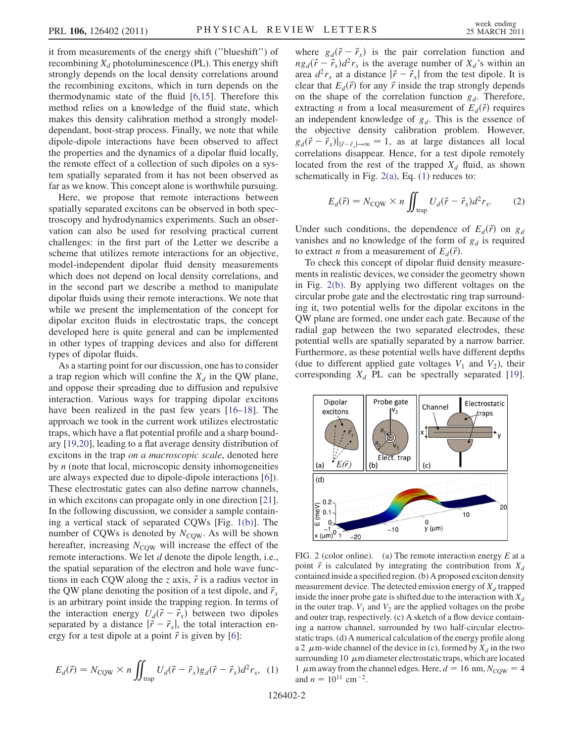it from measurements of the energy shift (''blueshift'') of recombining  $X_d$  photoluminescence (PL). This energy shift strongly depends on the local density correlations around the recombining excitons, which in turn depends on the thermodynamic state of the fluid [\[6](#page-3-5)[,15](#page-3-12)]. Therefore this method relies on a knowledge of the fluid state, which makes this density calibration method a strongly modeldependant, boot-strap process. Finally, we note that while dipole-dipole interactions have been observed to affect the properties and the dynamics of a dipolar fluid locally, the remote effect of a collection of such dipoles on a system spatially separated from it has not been observed as far as we know. This concept alone is worthwhile pursuing.

Here, we propose that remote interactions between spatially separated excitons can be observed in both spectroscopy and hydrodynamics experiments. Such an observation can also be used for resolving practical current challenges: in the first part of the Letter we describe a scheme that utilizes remote interactions for an objective, model-independent dipolar fluid density measurements which does not depend on local density correlations, and in the second part we describe a method to manipulate dipolar fluids using their remote interactions. We note that while we present the implementation of the concept for dipolar exciton fluids in electrostatic traps, the concept developed here is quite general and can be implemented in other types of trapping devices and also for different types of dipolar fluids.

As a starting point for our discussion, one has to consider a trap region which will confine the  $X_d$  in the QW plane, and oppose their spreading due to diffusion and repulsive interaction. Various ways for trapping dipolar excitons have been realized in the past few years [\[16](#page-3-13)[–18\]](#page-3-14). The approach we took in the current work utilizes electrostatic traps, which have a flat potential profile and a sharp boundary [\[19](#page-3-15)[,20\]](#page-3-16), leading to a flat average density distribution of excitons in the trap on a macroscopic scale, denoted here by  $n$  (note that local, microscopic density inhomogeneities are always expected due to dipole-dipole interactions [\[6](#page-3-5)]). These electrostatic gates can also define narrow channels, in which excitons can propagate only in one direction [[21\]](#page-3-17). In the following discussion, we consider a sample containing a vertical stack of separated CQWs [Fig. [1\(b\)](#page-0-0)]. The number of CQWs is denoted by  $N_{\text{CQW}}$ . As will be shown hereafter, increasing  $N_{\text{COW}}$  will increase the effect of the remote interactions. We let d denote the dipole length, i.e., the spatial separation of the electron and hole wave functions in each CQW along the z axis,  $\vec{r}$  is a radius vector in the QW plane denoting the position of a test dipole, and  $\vec{r}_x$ is an arbitrary point inside the trapping region. In terms of the interaction energy  $U_d(\vec{r} - \vec{r}_x)$  between two dipoles separated by a distance  $|\vec{r} - \vec{r}_x|$ , the total interaction energy for a test dipole at a point  $\vec{r}$  is given by [[6](#page-3-5)]:

<span id="page-1-2"></span>
$$
E_d(\vec{r}) = N_{\text{CQW}} \times n \iint_{\text{trap}} U_d(\vec{r} - \vec{r}_x) g_d(\vec{r} - \vec{r}_x) d^2 r_x, \tag{1}
$$

where  $g_d(\vec{r} - \vec{r}_x)$  is the pair correlation function and  $n g_d(\vec{r} - \vec{r}_x)d^2r_x$  is the average number of  $X_d$ 's within an area  $d^2r_x$  at a distance  $|\vec{r} - \vec{r}_x|$  from the test dipole. It is clear that  $E_d(\vec{r})$  for any  $\vec{r}$  inside the trap strongly depends on the shape of the correlation function  $g_d$ . Therefore, extracting *n* from a local measurement of  $E_d(\vec{r})$  requires an independent knowledge of  $g_d$ . This is the essence of the objective density calibration problem. However,  $g_d(\vec{r} - \vec{r}_x)|_{|\vec{r} - \vec{r}_x| \to \infty} = 1$ , as at large distances all local correlations disappear. Hence, for a test dipole remotely located from the rest of the trapped  $X_d$  fluid, as shown schematically in Fig.  $2(a)$ , Eq.  $(1)$  $(1)$  $(1)$  reduces to:

<span id="page-1-3"></span>
$$
E_d(\vec{r}) = N_{\text{CQW}} \times n \iint_{\text{trap}} U_d(\vec{r} - \vec{r}_x) d^2 r_x. \tag{2}
$$

Under such conditions, the dependence of  $E_d(\vec{r})$  on  $g_d$ vanishes and no knowledge of the form of  $g_d$  is required to extract *n* from a measurement of  $E_d(\vec{r})$ .

To check this concept of dipolar fluid density measurements in realistic devices, we consider the geometry shown in Fig. [2\(b\)](#page-1-1). By applying two different voltages on the circular probe gate and the electrostatic ring trap surrounding it, two potential wells for the dipolar excitons in the QW plane are formed, one under each gate. Because of the radial gap between the two separated electrodes, these potential wells are spatially separated by a narrow barrier. Furthermore, as these potential wells have different depths (due to different applied gate voltages  $V_1$  and  $V_2$ ), their corresponding  $X_d$  PL can be spectrally separated [\[19\]](#page-3-15).

<span id="page-1-0"></span>

<span id="page-1-1"></span>FIG. 2 (color online). (a) The remote interaction energy  $E$  at a point  $\vec{r}$  is calculated by integrating the contribution from  $X_d$ contained inside a specified region. (b) A proposed exciton density measurement device. The detected emission energy of  $X_d$  trapped inside the inner probe gate is shifted due to the interaction with  $X_d$ in the outer trap.  $V_1$  and  $V_2$  are the applied voltages on the probe and outer trap, respectively. (c) A sketch of a flow device containing a narrow channel, surrounded by two half-circular electrostatic traps. (d) A numerical calculation of the energy profile along a 2  $\mu$ m-wide channel of the device in (c), formed by  $X_d$  in the two surrounding 10  $\mu$ m diameter electrostatic traps, which are located 1  $\mu$ m away from the channel edges. Here,  $d = 16$  nm,  $N_{\text{CQW}} = 4$ and  $n = 10^{11}$  cm<sup>-2</sup>.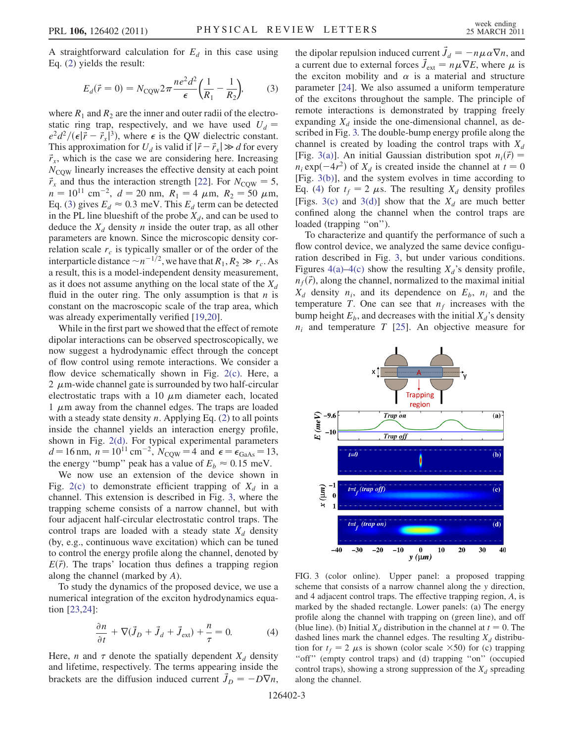<span id="page-2-0"></span>A straightforward calculation for  $E_d$  in this case using Eq. ([2\)](#page-1-3) yields the result:

$$
E_d(\vec{r} = 0) = N_{\text{CQW}} 2\pi \frac{ne^2 d^2}{\epsilon} \left(\frac{1}{R_1} - \frac{1}{R_2}\right),\tag{3}
$$

where  $R_1$  and  $R_2$  are the inner and outer radii of the electrostatic ring trap, respectively, and we have used  $U_d$  =  $e^2 d^2/(\epsilon |\vec{r} - \vec{r}_x|^3)$ , where  $\epsilon$  is the QW dielectric constant. This approximation for  $U_d$  is valid if  $|\vec{r}-\vec{r}_x|\gg d$  for every  $\vec{r}_x$ , which is the case we are considering here. Increasing  $N_{\text{COW}}$  linearly increases the effective density at each point  $\vec{r}_x$  and thus the interaction strength [\[22](#page-3-18)]. For  $N_{\text{COW}} = 5$ ,  $n = 10^{11}$  cm<sup>-2</sup>,  $d = 20$  nm,  $R_1 = 4 \mu$ m,  $R_2 = 50 \mu$ m, Eq. [\(3](#page-2-0)) gives  $E_d \approx 0.3$  meV. This  $E_d$  term can be detected in the PL line blueshift of the probe  $X_d$ , and can be used to deduce the  $X_d$  density n inside the outer trap, as all other parameters are known. Since the microscopic density correlation scale  $r_c$  is typically smaller or of the order of the interparticle distance  $\sim n^{-1/2}$ , we have that  $R_1, R_2 \gg r_c$ . As a result, this is a model-independent density measurement, as it does not assume anything on the local state of the  $X_d$ fluid in the outer ring. The only assumption is that  $n$  is constant on the macroscopic scale of the trap area, which was already experimentally verified [[19](#page-3-15),[20](#page-3-16)].

While in the first part we showed that the effect of remote dipolar interactions can be observed spectroscopically, we now suggest a hydrodynamic effect through the concept of flow control using remote interactions. We consider a flow device schematically shown in Fig. [2\(c\)](#page-1-1). Here, a 2  $\mu$ m-wide channel gate is surrounded by two half-circular electrostatic traps with a 10  $\mu$ m diameter each, located 1  $\mu$ m away from the channel edges. The traps are loaded with a steady state density  $n$ . Applying Eq. ([2\)](#page-1-3) to all points inside the channel yields an interaction energy profile, shown in Fig. [2\(d\).](#page-1-1) For typical experimental parameters  $d = 16$  nm,  $n = 10^{11}$  cm<sup>-2</sup>,  $N_{\text{COW}} = 4$  and  $\epsilon = \epsilon_{\text{GaAs}} = 13$ , the energy "bump" peak has a value of  $E_b \approx 0.15$  meV.

We now use an extension of the device shown in Fig. [2\(c\)](#page-1-1) to demonstrate efficient trapping of  $X_d$  in a channel. This extension is described in Fig. [3,](#page-2-1) where the trapping scheme consists of a narrow channel, but with four adjacent half-circular electrostatic control traps. The control traps are loaded with a steady state  $X_d$  density (by, e.g., continuous wave excitation) which can be tuned to control the energy profile along the channel, denoted by  $E(\vec{r})$ . The traps' location thus defines a trapping region along the channel (marked by A).

<span id="page-2-3"></span>To study the dynamics of the proposed device, we use a numerical integration of the exciton hydrodynamics equation [[23](#page-3-19),[24](#page-3-20)]:

$$
\frac{\partial n}{\partial t} + \nabla (\vec{J}_D + \vec{J}_d + \vec{J}_{ext}) + \frac{n}{\tau} = 0.
$$
 (4)

Here, *n* and  $\tau$  denote the spatially dependent  $X_d$  density and lifetime, respectively. The terms appearing inside the brackets are the diffusion induced current  $\vec{J}_D = -D\nabla n$ ,

the dipolar repulsion induced current  $\vec{J}_d = -n\mu \alpha \nabla n$ , and a current due to external forces  $\vec{J}_{ext} = n\mu \nabla E$ , where  $\mu$  is the exciton mobility and  $\alpha$  is a material and structure parameter [\[24\]](#page-3-20). We also assumed a uniform temperature of the excitons throughout the sample. The principle of remote interactions is demonstrated by trapping freely expanding  $X_d$  inside the one-dimensional channel, as described in Fig. [3.](#page-2-1) The double-bump energy profile along the channel is created by loading the control traps with  $X_d$ [Fig. [3\(a\)](#page-2-2)]. An initial Gaussian distribution spot  $n_i(\vec{r}) =$  $n_i \exp(-4r^2)$  of  $X_d$  is created inside the channel at  $t = 0$ [Fig. [3\(b\)](#page-2-2)], and the system evolves in time according to Eq. [\(4](#page-2-3)) for  $t_f = 2 \mu s$ . The resulting  $X_d$  density profiles [Figs. [3\(c\)](#page-2-2) and [3\(d\)](#page-2-2)] show that the  $X_d$  are much better confined along the channel when the control traps are loaded (trapping "on").

To characterize and quantify the performance of such a flow control device, we analyzed the same device configuration described in Fig. [3,](#page-2-1) but under various conditions. Figures [4\(a\)–4\(c\)](#page-3-21) show the resulting  $X_d$ 's density profile,  $n_f(\vec{r})$ , along the channel, normalized to the maximal initial  $X_d$  density  $n_i$ , and its dependence on  $E_b$ ,  $n_i$  and the temperature T. One can see that  $n_f$  increases with the bump height  $E_b$ , and decreases with the initial  $X_d$ 's density  $n_i$  and temperature T [\[25\]](#page-3-22). An objective measure for

<span id="page-2-1"></span>

<span id="page-2-2"></span>FIG. 3 (color online). Upper panel: a proposed trapping scheme that consists of a narrow channel along the y direction, and 4 adjacent control traps. The effective trapping region, A, is marked by the shaded rectangle. Lower panels: (a) The energy profile along the channel with trapping on (green line), and off (blue line). (b) Initial  $X_d$  distribution in the channel at  $t = 0$ . The dashed lines mark the channel edges. The resulting  $X_d$  distribution for  $t_f = 2 \mu s$  is shown (color scale  $\times 50$ ) for (c) trapping "off" (empty control traps) and (d) trapping "on" (occupied control traps), showing a strong suppression of the  $X_d$  spreading along the channel.